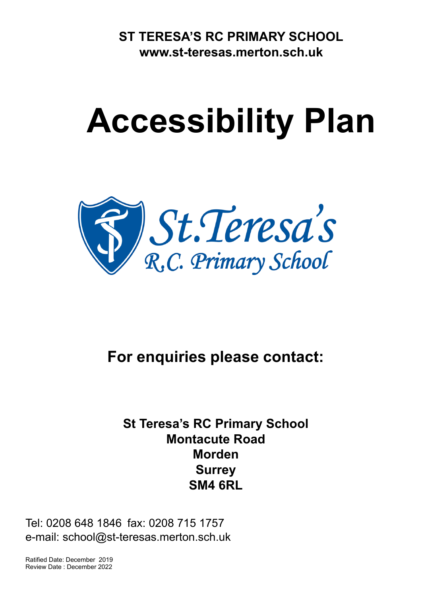**ST TERESA'S RC PRIMARY SCHOOL [www.st-teresas.merton.sch.uk](http://www.st-teresas.merton.sch.uk)**

## **Accessibility Plan**



**For enquiries please contact:**

## **St Teresa's RC Primary School Montacute Road Morden Surrey SM4 6RL**

Tel: 0208 648 1846 fax: 0208 715 1757 e-mail: school@st-teresas.merton.sch.uk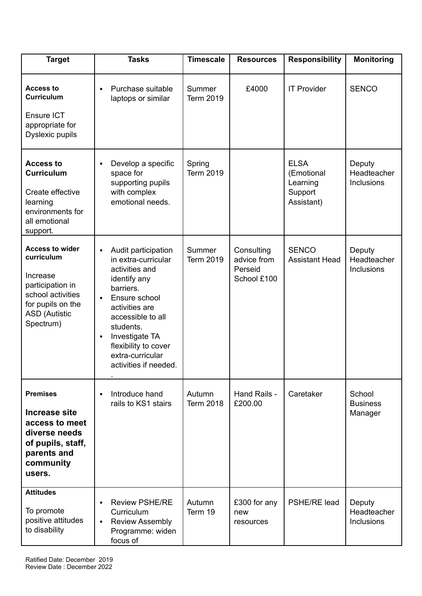| <b>Target</b>                                                                                                                                       | <b>Tasks</b>                                                                                                                                                                                                                                                                 | <b>Timescale</b>           | <b>Resources</b>                                    | <b>Responsibility</b>                                          | <b>Monitoring</b>                    |
|-----------------------------------------------------------------------------------------------------------------------------------------------------|------------------------------------------------------------------------------------------------------------------------------------------------------------------------------------------------------------------------------------------------------------------------------|----------------------------|-----------------------------------------------------|----------------------------------------------------------------|--------------------------------------|
| <b>Access to</b><br><b>Curriculum</b><br>Ensure ICT<br>appropriate for<br>Dyslexic pupils                                                           | Purchase suitable<br>٠<br>laptops or similar                                                                                                                                                                                                                                 | Summer<br><b>Term 2019</b> | £4000                                               | <b>IT Provider</b>                                             | <b>SENCO</b>                         |
| <b>Access to</b><br><b>Curriculum</b><br>Create effective<br>learning<br>environments for<br>all emotional<br>support.                              | Develop a specific<br>space for<br>supporting pupils<br>with complex<br>emotional needs.                                                                                                                                                                                     | Spring<br><b>Term 2019</b> |                                                     | <b>ELSA</b><br>(Emotional<br>Learning<br>Support<br>Assistant) | Deputy<br>Headteacher<br>Inclusions  |
| <b>Access to wider</b><br>curriculum<br>Increase<br>participation in<br>school activities<br>for pupils on the<br><b>ASD (Autistic</b><br>Spectrum) | Audit participation<br>٠<br>in extra-curricular<br>activities and<br>identify any<br>barriers.<br>Ensure school<br>$\blacksquare$<br>activities are<br>accessible to all<br>students.<br>Investigate TA<br>flexibility to cover<br>extra-curricular<br>activities if needed. | Summer<br><b>Term 2019</b> | Consulting<br>advice from<br>Perseid<br>School £100 | <b>SENCO</b><br><b>Assistant Head</b>                          | Deputy<br>Headteacher<br>Inclusions  |
| <b>Premises</b><br>Increase site<br>access to meet<br>diverse needs<br>of pupils, staff,<br>parents and<br>community<br>users.                      | Introduce hand<br>$\blacksquare$<br>rails to KS1 stairs                                                                                                                                                                                                                      | Autumn<br><b>Term 2018</b> | Hand Rails -<br>£200.00                             | Caretaker                                                      | School<br><b>Business</b><br>Manager |
| <b>Attitudes</b><br>To promote<br>positive attitudes<br>to disability                                                                               | <b>Review PSHE/RE</b><br>Curriculum<br><b>Review Assembly</b><br>٠<br>Programme: widen<br>focus of                                                                                                                                                                           | Autumn<br>Term 19          | £300 for any<br>new<br>resources                    | PSHE/RE lead                                                   | Deputy<br>Headteacher<br>Inclusions  |